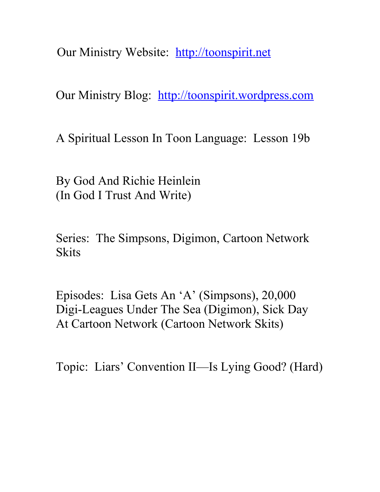Our Ministry Website: [http://toonspirit.net](http://toonspirit.net/)

Our Ministry Blog: [http://toonspirit.wordpress.com](http://toonspirit.wordpress.com/)

A Spiritual Lesson In Toon Language: Lesson 19b

By God And Richie Heinlein (In God I Trust And Write)

Series: The Simpsons, Digimon, Cartoon Network **Skits** 

Episodes: Lisa Gets An 'A' (Simpsons), 20,000 Digi-Leagues Under The Sea (Digimon), Sick Day At Cartoon Network (Cartoon Network Skits)

Topic: Liars' Convention II—Is Lying Good? (Hard)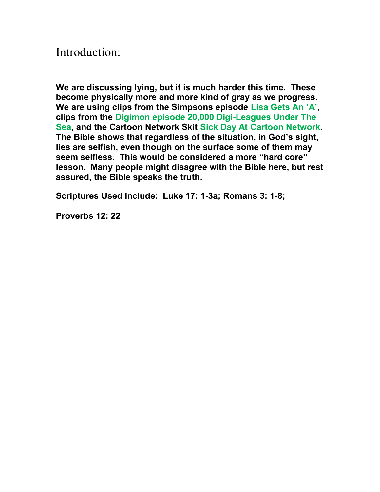## Introduction:

**We are discussing lying, but it is much harder this time. These become physically more and more kind of gray as we progress. We are using clips from the Simpsons episode Lisa Gets An 'A', clips from the Digimon episode 20,000 Digi-Leagues Under The Sea, and the Cartoon Network Skit Sick Day At Cartoon Network. The Bible shows that regardless of the situation, in God's sight, lies are selfish, even though on the surface some of them may seem selfless. This would be considered a more "hard core" lesson. Many people might disagree with the Bible here, but rest assured, the Bible speaks the truth.**

**Scriptures Used Include: Luke 17: 1-3a; Romans 3: 1-8;** 

**Proverbs 12: 22**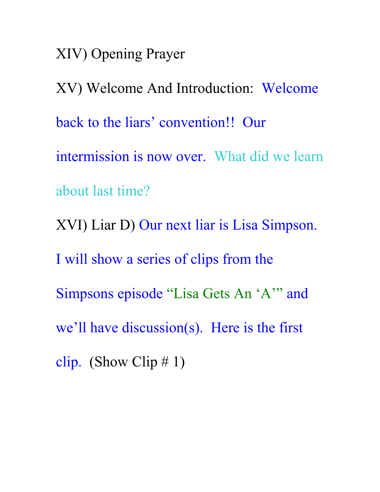XIV) Opening Prayer

XV) Welcome And Introduction: Welcome back to the liars' convention!! Our intermission is now over. What did we learn about last time? XVI) Liar D) Our next liar is Lisa Simpson. I will show a series of clips from the Simpsons episode "Lisa Gets An 'A'" and we'll have discussion(s). Here is the first clip. (Show Clip  $\# 1$ )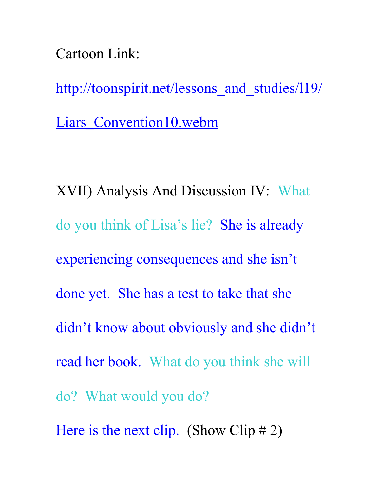Cartoon Link:

http://toonspirit.net/lessons and studies/l19/ Liars Convention10.webm

XVII) Analysis And Discussion IV: What do you think of Lisa's lie? She is already experiencing consequences and she isn't done yet. She has a test to take that she didn't know about obviously and she didn't read her book. What do you think she will do? What would you do? Here is the next clip. (Show Clip  $# 2$ )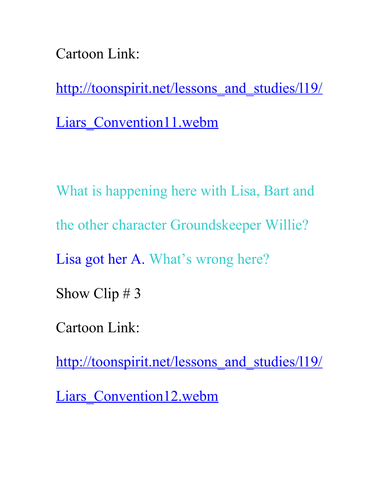Cartoon Link:

http://toonspirit.net/lessons and studies/l19/

Liars Convention11.webm

What is happening here with Lisa, Bart and the other character Groundskeeper Willie? Lisa got her A. What's wrong here? Show Clip # 3 Cartoon Link:

http://toonspirit.net/lessons and studies/119/

Liars Convention12.webm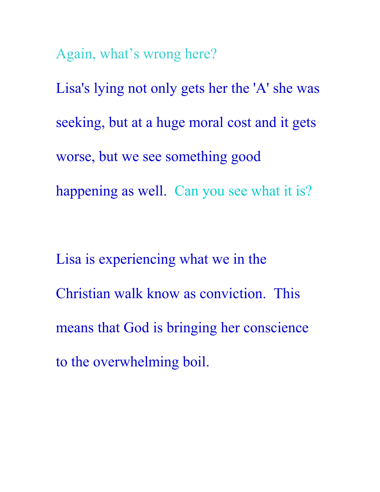Again, what's wrong here?

Lisa's lying not only gets her the 'A' she was seeking, but at a huge moral cost and it gets worse, but we see something good happening as well. Can you see what it is?

Lisa is experiencing what we in the Christian walk know as conviction. This means that God is bringing her conscience to the overwhelming boil.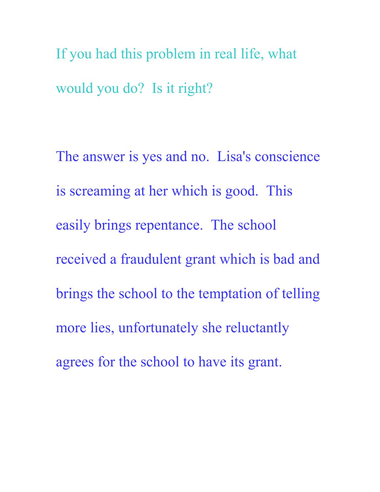If you had this problem in real life, what would you do? Is it right?

The answer is yes and no. Lisa's conscience is screaming at her which is good. This easily brings repentance. The school received a fraudulent grant which is bad and brings the school to the temptation of telling more lies, unfortunately she reluctantly agrees for the school to have its grant.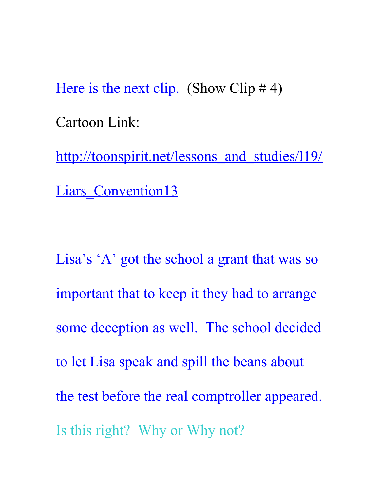Here is the next clip. (Show Clip  $# 4$ ) Cartoon Link: http://toonspirit.net/lessons and studies/l19/

Liars Convention13

Lisa's 'A' got the school a grant that was so important that to keep it they had to arrange some deception as well. The school decided to let Lisa speak and spill the beans about the test before the real comptroller appeared. Is this right? Why or Why not?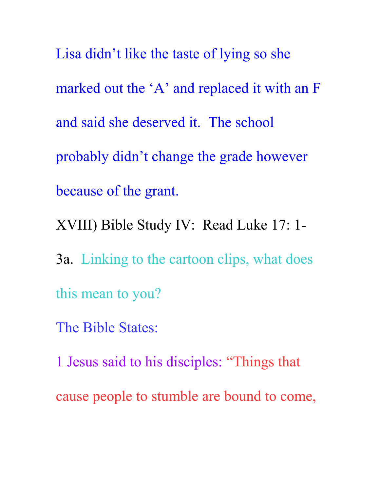Lisa didn't like the taste of lying so she marked out the 'A' and replaced it with an F and said she deserved it. The school probably didn't change the grade however because of the grant. XVIII) Bible Study IV: Read Luke 17: 1- 3a. Linking to the cartoon clips, what does this mean to you? The Bible States:

1 Jesus said to his disciples: "Things that cause people to stumble are bound to come,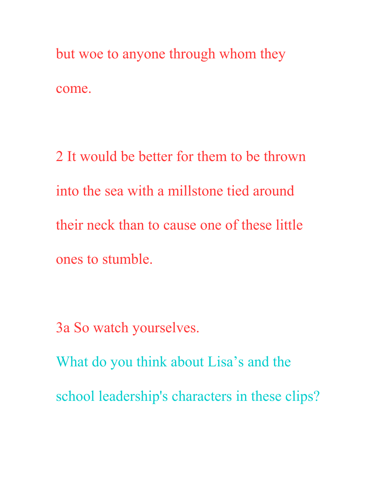but woe to anyone through whom they come.

2 It would be better for them to be thrown into the sea with a millstone tied around their neck than to cause one of these little ones to stumble.

3a So watch yourselves.

What do you think about Lisa's and the school leadership's characters in these clips?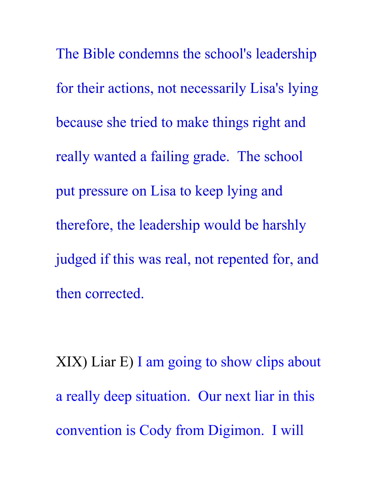The Bible condemns the school's leadership for their actions, not necessarily Lisa's lying because she tried to make things right and really wanted a failing grade. The school put pressure on Lisa to keep lying and therefore, the leadership would be harshly judged if this was real, not repented for, and then corrected.

XIX) Liar E) I am going to show clips about a really deep situation. Our next liar in this convention is Cody from Digimon. I will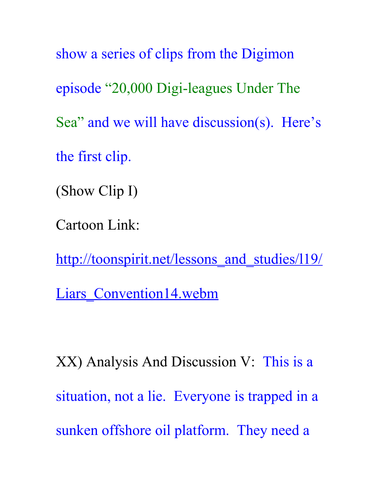show a series of clips from the Digimon episode "20,000 Digi-leagues Under The Sea" and we will have discussion(s). Here's the first clip. (Show Clip I)

Cartoon Link:

http://toonspirit.net/lessons and studies/l19/

Liars Convention14.webm

XX) Analysis And Discussion V: This is a situation, not a lie. Everyone is trapped in a sunken offshore oil platform. They need a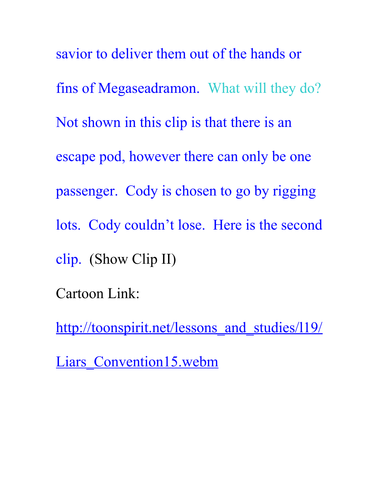savior to deliver them out of the hands or fins of Megaseadramon. What will they do? Not shown in this clip is that there is an escape pod, however there can only be one passenger. Cody is chosen to go by rigging lots. Cody couldn't lose. Here is the second clip. (Show Clip II) Cartoon Link:

http://toonspirit.net/lessons and studies/l19/

Liars Convention15.webm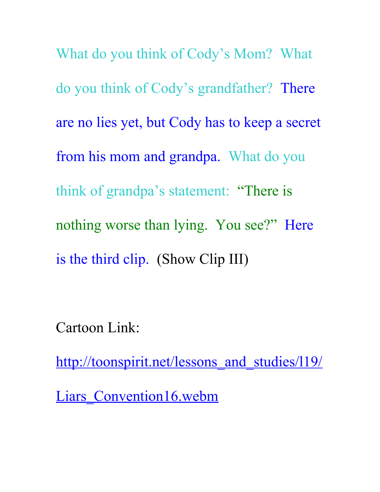What do you think of Cody's Mom? What do you think of Cody's grandfather? There are no lies yet, but Cody has to keep a secret from his mom and grandpa. What do you think of grandpa's statement: "There is nothing worse than lying. You see?" Here is the third clip. (Show Clip III)

Cartoon Link:

http://toonspirit.net/lessons and studies/119/

Liars Convention16.webm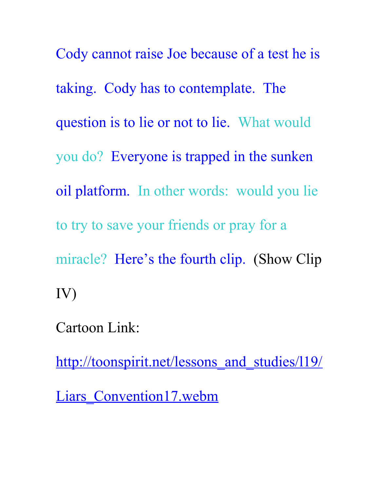Cody cannot raise Joe because of a test he is taking. Cody has to contemplate. The question is to lie or not to lie. What would you do? Everyone is trapped in the sunken oil platform. In other words: would you lie to try to save your friends or pray for a miracle? Here's the fourth clip. (Show Clip IV)

Cartoon Link:

http://toonspirit.net/lessons and studies/l19/

Liars Convention17.webm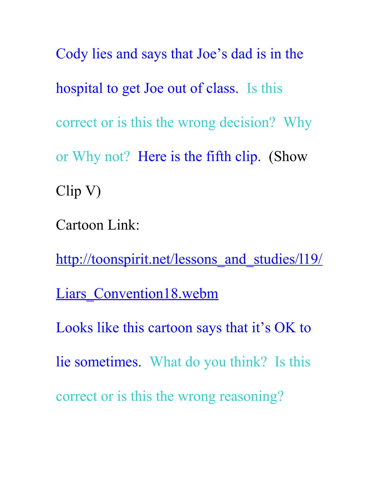Cody lies and says that Joe's dad is in the hospital to get Joe out of class. Is this correct or is this the wrong decision? Why or Why not? Here is the fifth clip. (Show Clip V)

Cartoon Link:

http://toonspirit.net/lessons and studies/l19/ Liars Convention18.webm Looks like this cartoon says that it's OK to lie sometimes. What do you think? Is this correct or is this the wrong reasoning?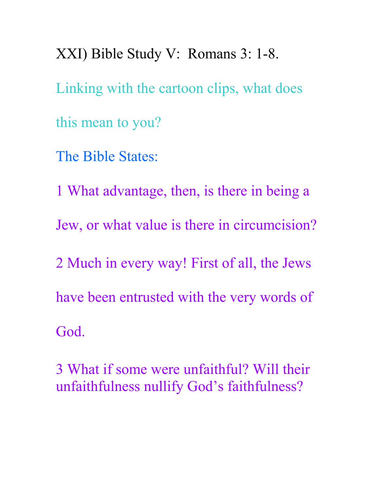XXI) Bible Study V: Romans 3: 1-8. Linking with the cartoon clips, what does this mean to you? The Bible States:

1 What advantage, then, is there in being a Jew, or what value is there in circumcision? 2 Much in every way! First of all, the Jews have been entrusted with the very words of God.

3 What if some were unfaithful? Will their unfaithfulness nullify God's faithfulness?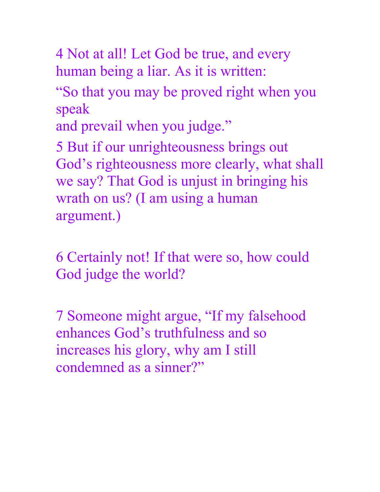4 Not at all! Let God be true, and every human being a liar. As it is written:

"So that you may be proved right when you speak

and prevail when you judge."

5 But if our unrighteousness brings out God's righteousness more clearly, what shall we say? That God is unjust in bringing his wrath on us? (I am using a human argument.)

6 Certainly not! If that were so, how could God judge the world?

7 Someone might argue, "If my falsehood enhances God's truthfulness and so increases his glory, why am I still condemned as a sinner?"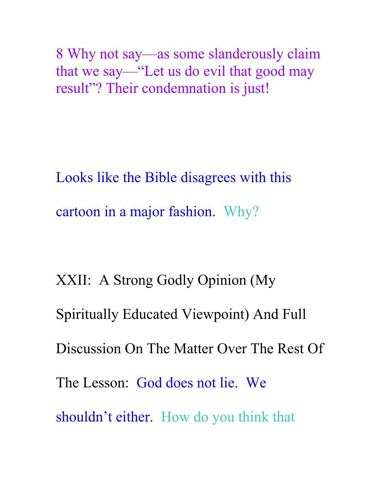8 Why not say—as some slanderously claim that we say—"Let us do evil that good may result"? Their condemnation is just!

Looks like the Bible disagrees with this cartoon in a major fashion. Why?

XXII: A Strong Godly Opinion (My Spiritually Educated Viewpoint) And Full Discussion On The Matter Over The Rest Of The Lesson: God does not lie. We shouldn't either. How do you think that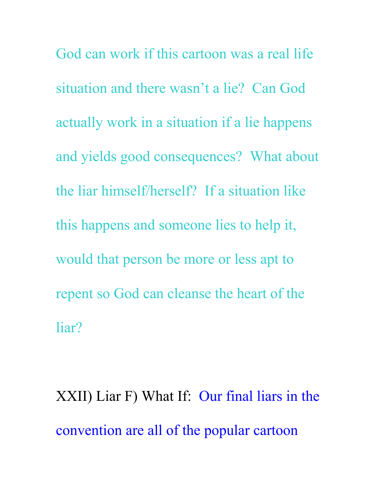God can work if this cartoon was a real life situation and there wasn't a lie? Can God actually work in a situation if a lie happens and yields good consequences? What about the liar himself/herself? If a situation like this happens and someone lies to help it, would that person be more or less apt to repent so God can cleanse the heart of the liar?

XXII) Liar F) What If: Our final liars in the convention are all of the popular cartoon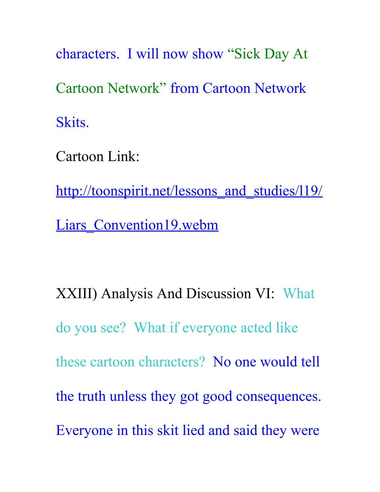characters. I will now show "Sick Day At Cartoon Network" from Cartoon Network Skits.

Cartoon Link:

http://toonspirit.net/lessons and studies/l19/ Liars Convention19.webm

XXIII) Analysis And Discussion VI: What do you see? What if everyone acted like these cartoon characters? No one would tell the truth unless they got good consequences. Everyone in this skit lied and said they were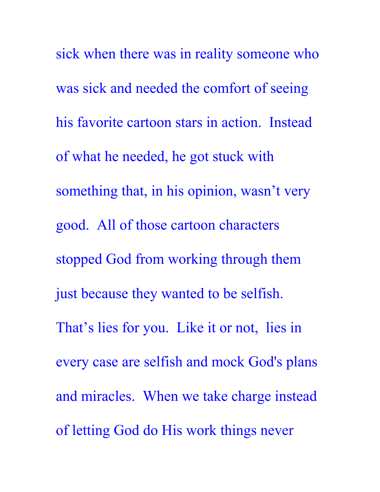sick when there was in reality someone who was sick and needed the comfort of seeing his favorite cartoon stars in action. Instead of what he needed, he got stuck with something that, in his opinion, wasn't very good. All of those cartoon characters stopped God from working through them just because they wanted to be selfish. That's lies for you. Like it or not, lies in every case are selfish and mock God's plans and miracles. When we take charge instead of letting God do His work things never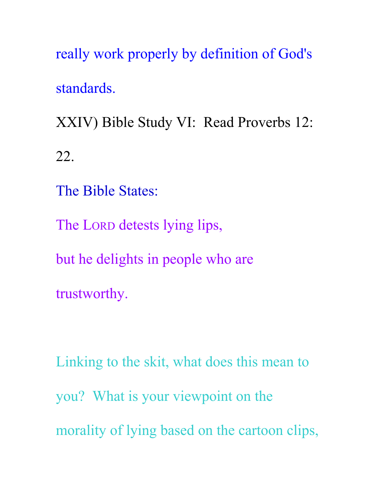really work properly by definition of God's standards.

XXIV) Bible Study VI: Read Proverbs 12: 22.

The Bible States:

The LORD detests lying lips,

but he delights in people who are

trustworthy.

Linking to the skit, what does this mean to you? What is your viewpoint on the morality of lying based on the cartoon clips,